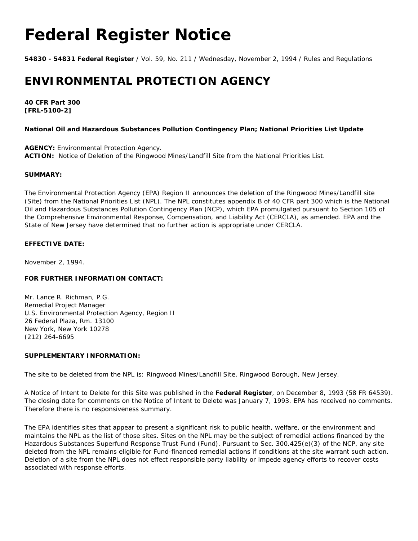# **Federal Register Notice**

**54830 - 54831 Federal Register** / Vol. 59, No. 211 / Wednesday, November 2, 1994 / Rules and Regulations

# **ENVIRONMENTAL PROTECTION AGENCY**

**40 CFR Part 300 [FRL-5100-2]**

### **National Oil and Hazardous Substances Pollution Contingency Plan; National Priorities List Update**

**AGENCY:** Environmental Protection Agency. **ACTION:** Notice of Deletion of the Ringwood Mines/Landfill Site from the National Priorities List.

#### **SUMMARY:**

The Environmental Protection Agency (EPA) Region II announces the deletion of the Ringwood Mines/Landfill site (Site) from the National Priorities List (NPL). The NPL constitutes appendix B of 40 CFR part 300 which is the National Oil and Hazardous Substances Pollution Contingency Plan (NCP), which EPA promulgated pursuant to Section 105 of the Comprehensive Environmental Response, Compensation, and Liability Act (CERCLA), as amended. EPA and the State of New Jersey have determined that no further action is appropriate under CERCLA.

## **EFFECTIVE DATE:**

November 2, 1994.

#### **FOR FURTHER INFORMATION CONTACT:**

Mr. Lance R. Richman, P.G. Remedial Project Manager U.S. Environmental Protection Agency, Region II 26 Federal Plaza, Rm. 13100 New York, New York 10278 (212) 264-6695

#### **SUPPLEMENTARY INFORMATION:**

The site to be deleted from the NPL is: Ringwood Mines/Landfill Site, Ringwood Borough, New Jersey.

A Notice of Intent to Delete for this Site was published in the **Federal Register**, on December 8, 1993 (58 FR 64539). The closing date for comments on the Notice of Intent to Delete was January 7, 1993. EPA has received no comments. Therefore there is no responsiveness summary.

The EPA identifies sites that appear to present a significant risk to public health, welfare, or the environment and maintains the NPL as the list of those sites. Sites on the NPL may be the subject of remedial actions financed by the Hazardous Substances Superfund Response Trust Fund (Fund). Pursuant to Sec. 300.425(e)(3) of the NCP, any site deleted from the NPL remains eligible for Fund-financed remedial actions if conditions at the site warrant such action. Deletion of a site from the NPL does not effect responsible party liability or impede agency efforts to recover costs associated with response efforts.